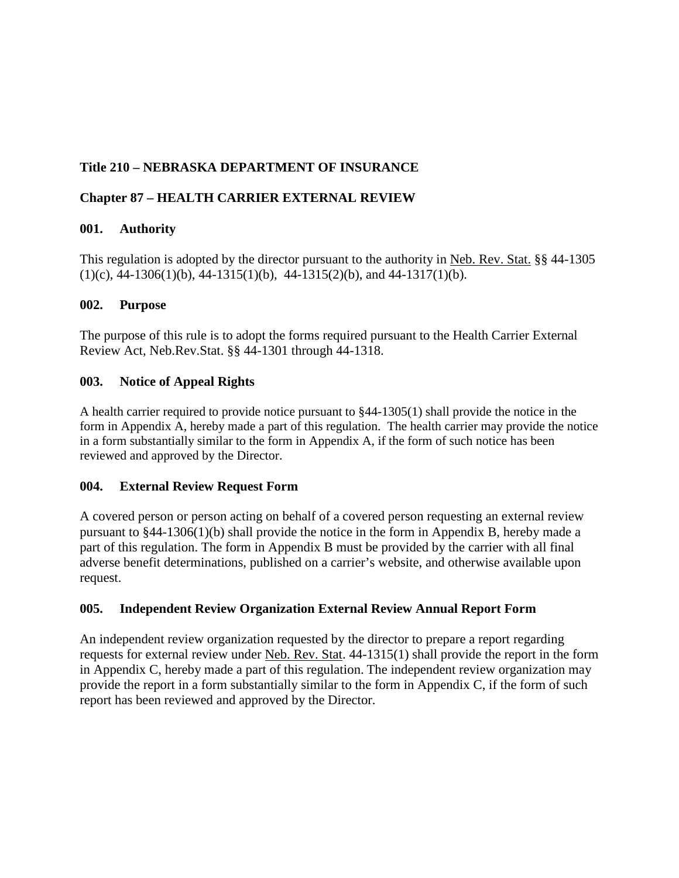# **Title 210 – NEBRASKA DEPARTMENT OF INSURANCE**

## **Chapter 87 – HEALTH CARRIER EXTERNAL REVIEW**

## **001. Authority**

This regulation is adopted by the director pursuant to the authority in Neb. Rev. Stat. §§ 44-1305  $(1)(c)$ , 44-1306(1)(b), 44-1315(1)(b), 44-1315(2)(b), and 44-1317(1)(b).

## **002. Purpose**

The purpose of this rule is to adopt the forms required pursuant to the Health Carrier External Review Act, Neb.Rev.Stat. §§ 44-1301 through 44-1318.

## **003. Notice of Appeal Rights**

A health carrier required to provide notice pursuant to §44-1305(1) shall provide the notice in the form in Appendix A, hereby made a part of this regulation. The health carrier may provide the notice in a form substantially similar to the form in Appendix A, if the form of such notice has been reviewed and approved by the Director.

## **004. External Review Request Form**

A covered person or person acting on behalf of a covered person requesting an external review pursuant to §44-1306(1)(b) shall provide the notice in the form in Appendix B, hereby made a part of this regulation. The form in Appendix B must be provided by the carrier with all final adverse benefit determinations, published on a carrier's website, and otherwise available upon request.

## **005. Independent Review Organization External Review Annual Report Form**

An independent review organization requested by the director to prepare a report regarding requests for external review under Neb. Rev. Stat. 44-1315(1) shall provide the report in the form in Appendix C, hereby made a part of this regulation. The independent review organization may provide the report in a form substantially similar to the form in Appendix C, if the form of such report has been reviewed and approved by the Director.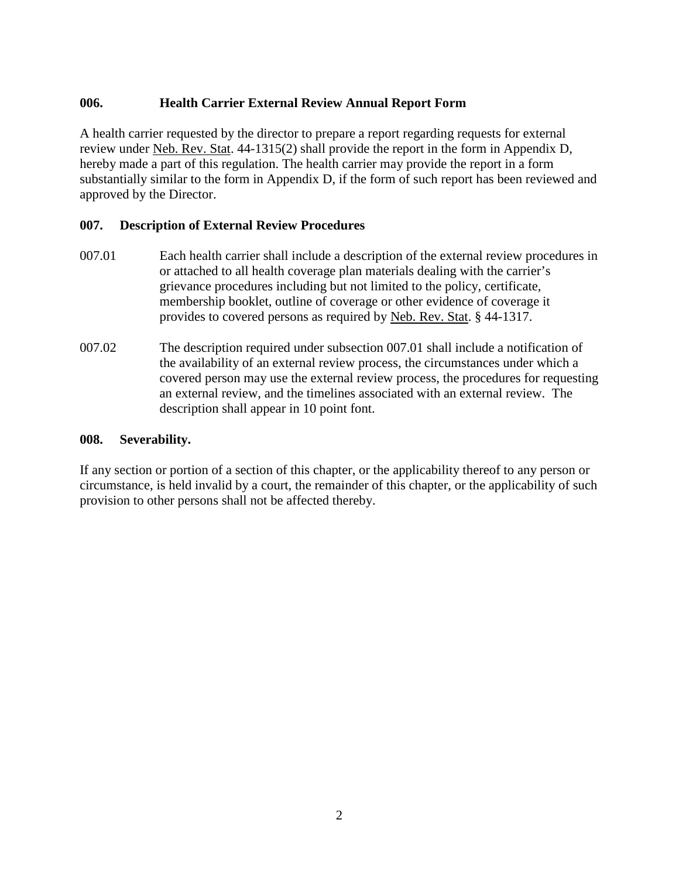## **006. Health Carrier External Review Annual Report Form**

A health carrier requested by the director to prepare a report regarding requests for external review under Neb. Rev. Stat. 44-1315(2) shall provide the report in the form in Appendix D, hereby made a part of this regulation. The health carrier may provide the report in a form substantially similar to the form in Appendix D, if the form of such report has been reviewed and approved by the Director.

## **007. Description of External Review Procedures**

- 007.01 Each health carrier shall include a description of the external review procedures in or attached to all health coverage plan materials dealing with the carrier's grievance procedures including but not limited to the policy, certificate, membership booklet, outline of coverage or other evidence of coverage it provides to covered persons as required by Neb. Rev. Stat. § 44-1317.
- 007.02 The description required under subsection 007.01 shall include a notification of the availability of an external review process, the circumstances under which a covered person may use the external review process, the procedures for requesting an external review, and the timelines associated with an external review. The description shall appear in 10 point font.

## **008. Severability.**

If any section or portion of a section of this chapter, or the applicability thereof to any person or circumstance, is held invalid by a court, the remainder of this chapter, or the applicability of such provision to other persons shall not be affected thereby.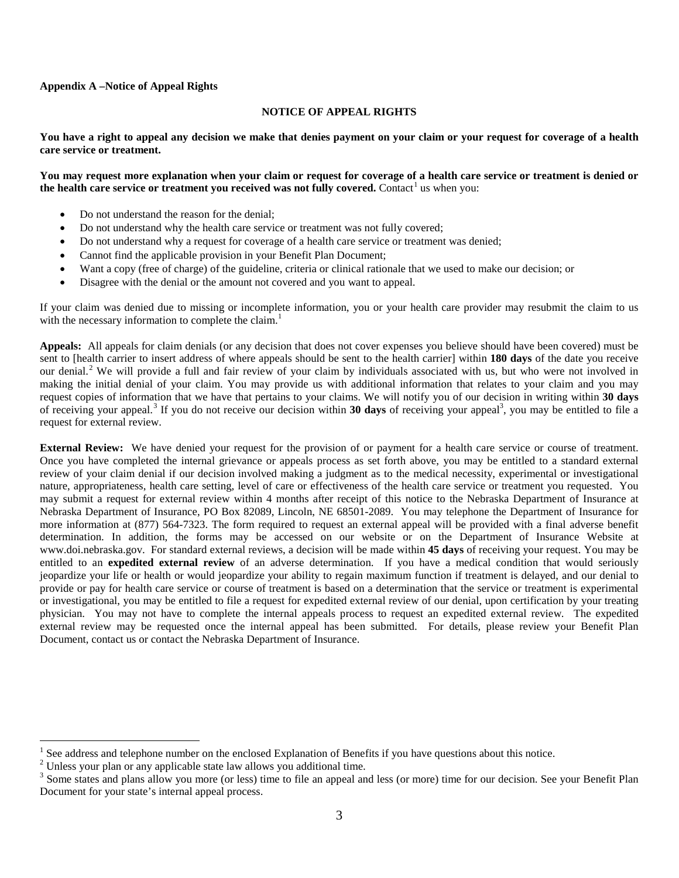#### **Appendix A –Notice of Appeal Rights**

#### <span id="page-2-0"></span>**NOTICE OF APPEAL RIGHTS**

**You have a right to appeal any decision we make that denies payment on your claim or your request for coverage of a health care service or treatment.**

#### **You may request more explanation when your claim or request for coverage of a health care service or treatment is denied or the health care service or treatment you received was not fully covered.** Contact<sup>[1](#page-2-1)</sup> us when you:

- Do not understand the reason for the denial;
- Do not understand why the health care service or treatment was not fully covered;
- Do not understand why a request for coverage of a health care service or treatment was denied;
- Cannot find the applicable provision in your Benefit Plan Document;
- Want a copy (free of charge) of the guideline, criteria or clinical rationale that we used to make our decision; or
- Disagree with the denial or the amount not covered and you want to appeal.

If your claim was denied due to missing or incomplete information, you or your health care provider may resubmit the claim to us with the necessary information to complete the claim.<sup>[1](#page-2-0)</sup>

**Appeals:** All appeals for claim denials (or any decision that does not cover expenses you believe should have been covered) must be sent to [health carrier to insert address of where appeals should be sent to the health carrier] within **180 days** of the date you receive our denial.<sup>[2](#page-2-2)</sup> We will provide a full and fair review of your claim by individuals associated with us, but who were not involved in making the initial denial of your claim. You may provide us with additional information that relates to your claim and you may request copies of information that we have that pertains to your claims. We will notify you of our decision in writing within **30 days** of receiving your appeal.<sup>[3](#page-2-3)</sup> If you do not receive our decision within 30 days of receiving your appeal<sup>3</sup>, you may be entitled to file a request for external review.

**External Review:** We have denied your request for the provision of or payment for a health care service or course of treatment. Once you have completed the internal grievance or appeals process as set forth above, you may be entitled to a standard external review of your claim denial if our decision involved making a judgment as to the medical necessity, experimental or investigational nature, appropriateness, health care setting, level of care or effectiveness of the health care service or treatment you requested. You may submit a request for external review within 4 months after receipt of this notice to the Nebraska Department of Insurance at Nebraska Department of Insurance, PO Box 82089, Lincoln, NE 68501-2089. You may telephone the Department of Insurance for more information at (877) 564-7323. The form required to request an external appeal will be provided with a final adverse benefit determination. In addition, the forms may be accessed on our website or on the Department of Insurance Website at www.doi.nebraska.gov. For standard external reviews, a decision will be made within **45 days** of receiving your request. You may be entitled to an **expedited external review** of an adverse determination. If you have a medical condition that would seriously jeopardize your life or health or would jeopardize your ability to regain maximum function if treatment is delayed, and our denial to provide or pay for health care service or course of treatment is based on a determination that the service or treatment is experimental or investigational, you may be entitled to file a request for expedited external review of our denial, upon certification by your treating physician. You may not have to complete the internal appeals process to request an expedited external review. The expedited external review may be requested once the internal appeal has been submitted. For details, please review your Benefit Plan Document, contact us or contact the Nebraska Department of Insurance.

<span id="page-2-1"></span><sup>&</sup>lt;sup>1</sup> See address and telephone number on the enclosed Explanation of Benefits if you have questions about this notice. <sup>2</sup> Unless your plan or any applicable state law allows you additional time.

<span id="page-2-2"></span>

<span id="page-2-3"></span><sup>&</sup>lt;sup>3</sup> Some states and plans allow you more (or less) time to file an appeal and less (or more) time for our decision. See your Benefit Plan Document for your state's internal appeal process.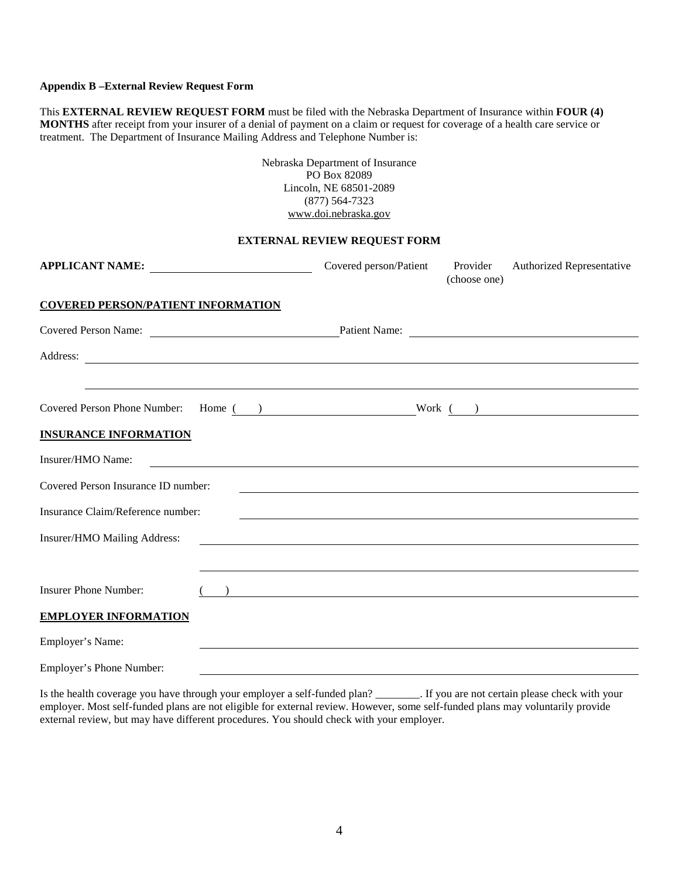#### **Appendix B –External Review Request Form**

This **EXTERNAL REVIEW REQUEST FORM** must be filed with the Nebraska Department of Insurance within **FOUR (4) MONTHS** after receipt from your insurer of a denial of payment on a claim or request for coverage of a health care service or treatment. The Department of Insurance Mailing Address and Telephone Number is:

> Nebraska Department of Insurance PO Box 82089 Lincoln, NE 68501-2089 (877) 564-7323 www.doi.nebraska.gov

### **EXTERNAL REVIEW REQUEST FORM**

| APPLICANT NAME:                                                                                                                                                                                                                      | Covered person/Patient Provider                                                                                                                 | (choose one) | Authorized Representative |
|--------------------------------------------------------------------------------------------------------------------------------------------------------------------------------------------------------------------------------------|-------------------------------------------------------------------------------------------------------------------------------------------------|--------------|---------------------------|
| <b>COVERED PERSON/PATIENT INFORMATION</b>                                                                                                                                                                                            |                                                                                                                                                 |              |                           |
| Covered Person Name: Patient Name: Patient Name:                                                                                                                                                                                     |                                                                                                                                                 |              |                           |
| Address: <u>and a series of the series of the series of the series of the series of the series of the series of the series of the series of the series of the series of the series of the series of the series of the series of </u> |                                                                                                                                                 |              |                           |
|                                                                                                                                                                                                                                      | <u> 1989 - Andrea Andrew Maria (h. 1989).</u>                                                                                                   |              |                           |
| Covered Person Phone Number: Home ( ) Work ( )                                                                                                                                                                                       |                                                                                                                                                 |              |                           |
| <b>INSURANCE INFORMATION</b>                                                                                                                                                                                                         |                                                                                                                                                 |              |                           |
| Insurer/HMO Name:                                                                                                                                                                                                                    |                                                                                                                                                 |              |                           |
| Covered Person Insurance ID number:                                                                                                                                                                                                  |                                                                                                                                                 |              |                           |
| Insurance Claim/Reference number:                                                                                                                                                                                                    | ,我们也不会有什么。""我们的人,我们也不会有什么?""我们的人,我们也不会有什么?""我们的人,我们也不会有什么?""我们的人,我们也不会有什么?""我们的人                                                                |              |                           |
| Insurer/HMO Mailing Address:                                                                                                                                                                                                         |                                                                                                                                                 |              |                           |
|                                                                                                                                                                                                                                      | ,我们也不能在这里的时候,我们也不能在这里的时候,我们也不能会不能会不能会不能会不能会不能会不能会不能会不能会不能会。<br>第2012章 我们的时候,我们的时候,我们的时候,我们的时候,我们的时候,我们的时候,我们的时候,我们的时候,我们的时候,我们的时候,我们的时候,我们的时候,我 |              |                           |
| <b>Insurer Phone Number:</b>                                                                                                                                                                                                         | $\overline{\phantom{a}}$                                                                                                                        |              |                           |
| <b>EMPLOYER INFORMATION</b>                                                                                                                                                                                                          |                                                                                                                                                 |              |                           |
| Employer's Name:                                                                                                                                                                                                                     |                                                                                                                                                 |              |                           |
| _______________________                                                                                                                                                                                                              |                                                                                                                                                 |              |                           |

Employer's Phone Number:

Is the health coverage you have through your employer a self-funded plan? \_\_\_\_\_\_\_\_. If you are not certain please check with your employer. Most self-funded plans are not eligible for external review. However, some self-funded plans may voluntarily provide external review, but may have different procedures. You should check with your employer.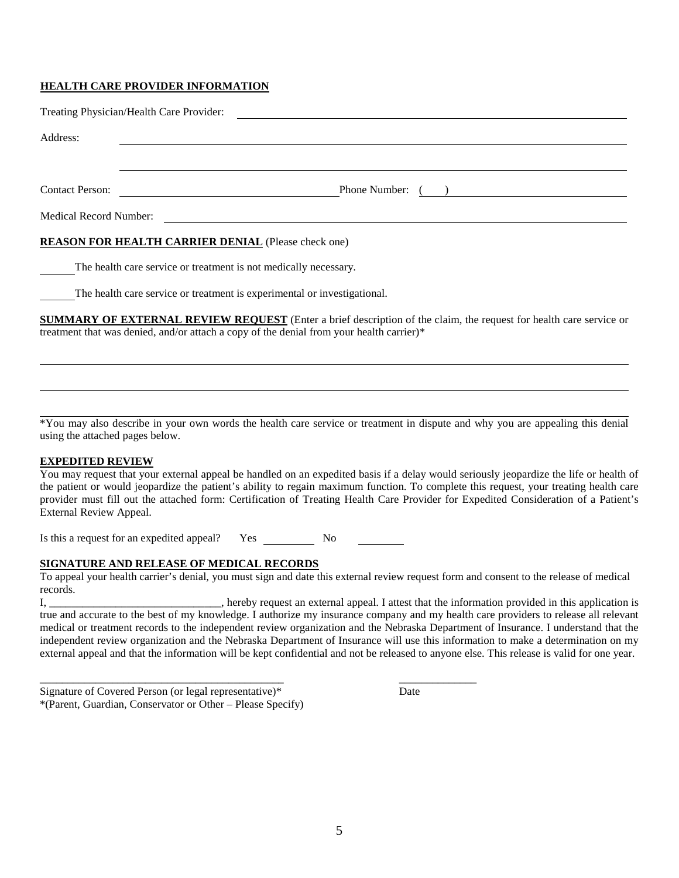### **HEALTH CARE PROVIDER INFORMATION**

|                                                            | Treating Physician/Health Care Provider: |  |  |  |  |  |
|------------------------------------------------------------|------------------------------------------|--|--|--|--|--|
| Address:                                                   |                                          |  |  |  |  |  |
|                                                            |                                          |  |  |  |  |  |
| <b>Contact Person:</b>                                     | Phone Number: ( )                        |  |  |  |  |  |
| <b>Medical Record Number:</b>                              |                                          |  |  |  |  |  |
| <b>REASON FOR HEALTH CARRIER DENIAL (Please check one)</b> |                                          |  |  |  |  |  |

The health care service or treatment is not medically necessary.

The health care service or treatment is experimental or investigational.

**SUMMARY OF EXTERNAL REVIEW REQUEST** (Enter a brief description of the claim, the request for health care service or treatment that was denied, and/or attach a copy of the denial from your health carrier)\*

\*You may also describe in your own words the health care service or treatment in dispute and why you are appealing this denial using the attached pages below.

### **EXPEDITED REVIEW**

You may request that your external appeal be handled on an expedited basis if a delay would seriously jeopardize the life or health of the patient or would jeopardize the patient's ability to regain maximum function. To complete this request, your treating health care provider must fill out the attached form: Certification of Treating Health Care Provider for Expedited Consideration of a Patient's External Review Appeal.

Is this a request for an expedited appeal? Yes No

\_\_\_\_\_\_\_\_\_\_\_\_\_\_\_\_\_\_\_\_\_\_\_\_\_\_\_\_\_\_\_\_\_\_\_\_\_\_\_\_\_\_\_\_ \_\_\_\_\_\_\_\_\_\_\_\_\_\_

### **SIGNATURE AND RELEASE OF MEDICAL RECORDS**

To appeal your health carrier's denial, you must sign and date this external review request form and consent to the release of medical records.

I, \_\_\_\_\_\_\_\_\_\_\_\_\_\_\_\_\_\_\_\_\_\_\_\_\_\_\_\_\_\_\_, hereby request an external appeal. I attest that the information provided in this application is true and accurate to the best of my knowledge. I authorize my insurance company and my health care providers to release all relevant medical or treatment records to the independent review organization and the Nebraska Department of Insurance. I understand that the independent review organization and the Nebraska Department of Insurance will use this information to make a determination on my external appeal and that the information will be kept confidential and not be released to anyone else. This release is valid for one year.

| Signature of Covered Person (or legal representative)*     | Date |
|------------------------------------------------------------|------|
| *(Parent, Guardian, Conservator or Other – Please Specify) |      |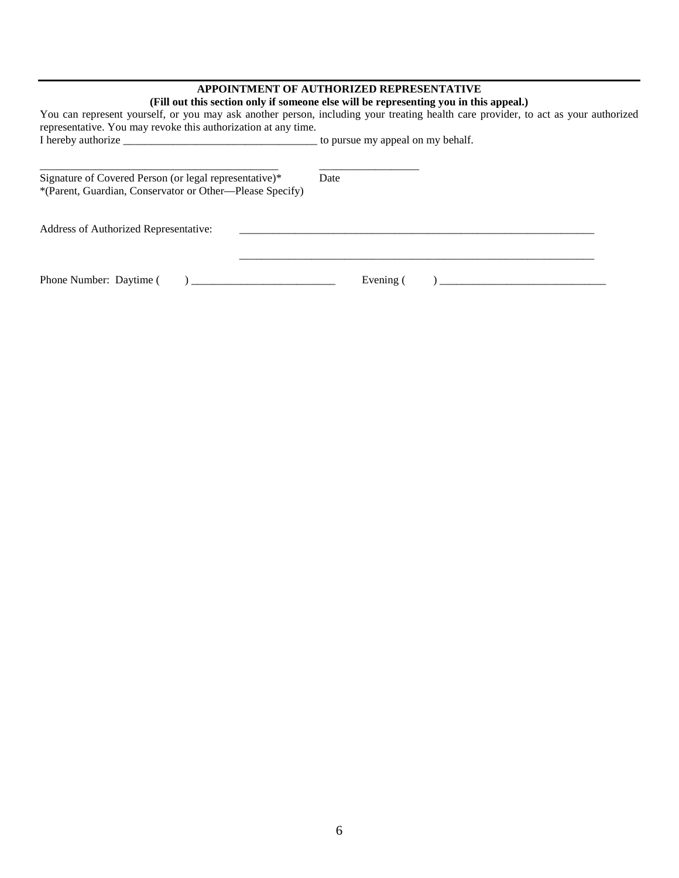### **APPOINTMENT OF AUTHORIZED REPRESENTATIVE**

| representative. You may revoke this authorization at any time.                                                     | (Fill out this section only if someone else will be representing you in this appeal.)<br>You can represent yourself, or you may ask another person, including your treating health care provider, to act as your authorized |  |  |
|--------------------------------------------------------------------------------------------------------------------|-----------------------------------------------------------------------------------------------------------------------------------------------------------------------------------------------------------------------------|--|--|
|                                                                                                                    |                                                                                                                                                                                                                             |  |  |
| Signature of Covered Person (or legal representative)*<br>*(Parent, Guardian, Conservator or Other—Please Specify) | Date                                                                                                                                                                                                                        |  |  |
| Address of Authorized Representative:                                                                              |                                                                                                                                                                                                                             |  |  |
| Phone Number: Daytime (<br>$\overline{a}$                                                                          | Evening (<br>$\overline{a}$                                                                                                                                                                                                 |  |  |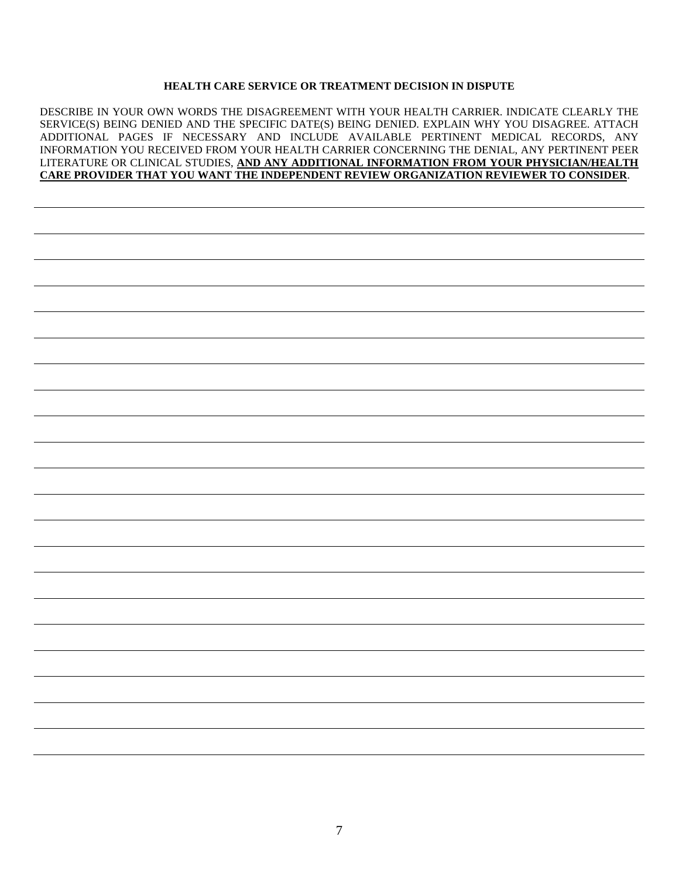### **HEALTH CARE SERVICE OR TREATMENT DECISION IN DISPUTE**

DESCRIBE IN YOUR OWN WORDS THE DISAGREEMENT WITH YOUR HEALTH CARRIER. INDICATE CLEARLY THE SERVICE(S) BEING DENIED AND THE SPECIFIC DATE(S) BEING DENIED. EXPLAIN WHY YOU DISAGREE. ATTACH ADDITIONAL PAGES IF NECESSARY AND INCLUDE AVAILABLE PERTINENT MEDICAL RECORDS, ANY INFORMATION YOU RECEIVED FROM YOUR HEALTH CARRIER CONCERNING THE DENIAL, ANY PERTINENT PEER LITERATURE OR CLINICAL STUDIES, **AND ANY ADDITIONAL INFORMATION FROM YOUR PHYSICIAN/HEALTH CARE PROVIDER THAT YOU WANT THE INDEPENDENT REVIEW ORGANIZATION REVIEWER TO CONSIDER**.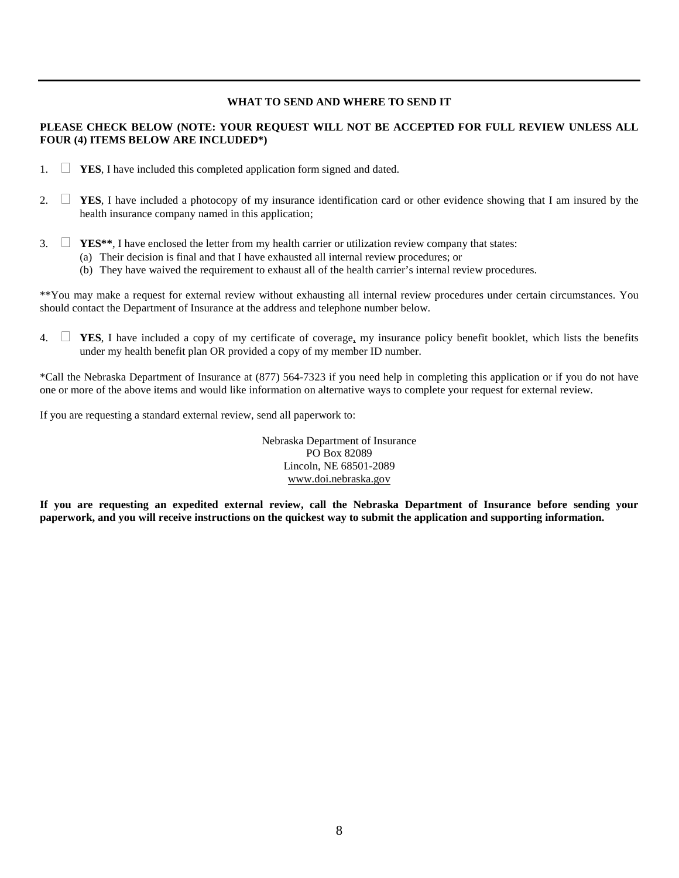### **WHAT TO SEND AND WHERE TO SEND IT**

### **PLEASE CHECK BELOW (NOTE: YOUR REQUEST WILL NOT BE ACCEPTED FOR FULL REVIEW UNLESS ALL FOUR (4) ITEMS BELOW ARE INCLUDED\*)**

- 1. **YES**, I have included this completed application form signed and dated.
- 2.  $\Box$  **YES**, I have included a photocopy of my insurance identification card or other evidence showing that I am insured by the health insurance company named in this application;
- 3.  $\Box$  **YES\*\***, I have enclosed the letter from my health carrier or utilization review company that states:
	- (a) Their decision is final and that I have exhausted all internal review procedures; or
	- (b) They have waived the requirement to exhaust all of the health carrier's internal review procedures.

\*\*You may make a request for external review without exhausting all internal review procedures under certain circumstances. You should contact the Department of Insurance at the address and telephone number below.

4.  $\Box$  **YES**, I have included a copy of my certificate of coverage, my insurance policy benefit booklet, which lists the benefits under my health benefit plan OR provided a copy of my member ID number.

\*Call the Nebraska Department of Insurance at (877) 564-7323 if you need help in completing this application or if you do not have one or more of the above items and would like information on alternative ways to complete your request for external review.

If you are requesting a standard external review, send all paperwork to:

Nebraska Department of Insurance PO Box 82089 Lincoln, NE 68501-2089 www.doi.nebraska.gov

**If you are requesting an expedited external review, call the Nebraska Department of Insurance before sending your paperwork, and you will receive instructions on the quickest way to submit the application and supporting information.**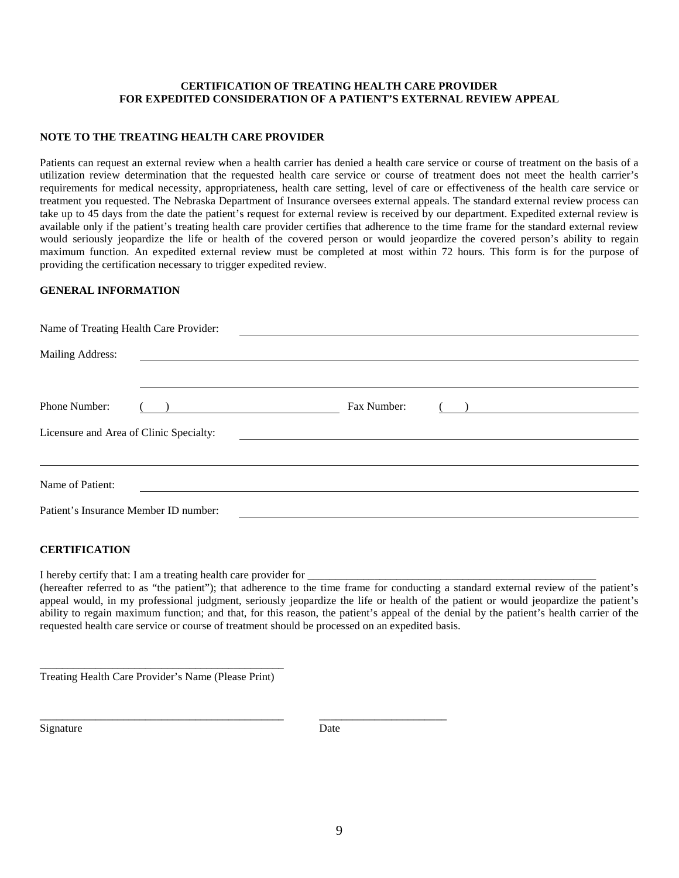### **CERTIFICATION OF TREATING HEALTH CARE PROVIDER FOR EXPEDITED CONSIDERATION OF A PATIENT'S EXTERNAL REVIEW APPEAL**

#### **NOTE TO THE TREATING HEALTH CARE PROVIDER**

Patients can request an external review when a health carrier has denied a health care service or course of treatment on the basis of a utilization review determination that the requested health care service or course of treatment does not meet the health carrier's requirements for medical necessity, appropriateness, health care setting, level of care or effectiveness of the health care service or treatment you requested. The Nebraska Department of Insurance oversees external appeals. The standard external review process can take up to 45 days from the date the patient's request for external review is received by our department. Expedited external review is available only if the patient's treating health care provider certifies that adherence to the time frame for the standard external review would seriously jeopardize the life or health of the covered person or would jeopardize the covered person's ability to regain maximum function. An expedited external review must be completed at most within 72 hours. This form is for the purpose of providing the certification necessary to trigger expedited review.

#### **GENERAL INFORMATION**

| Name of Treating Health Care Provider: |  |  |  |  |  |  |  |
|----------------------------------------|--|--|--|--|--|--|--|
|                                        |  |  |  |  |  |  |  |
|                                        |  |  |  |  |  |  |  |
|                                        |  |  |  |  |  |  |  |
|                                        |  |  |  |  |  |  |  |
|                                        |  |  |  |  |  |  |  |
|                                        |  |  |  |  |  |  |  |
|                                        |  |  |  |  |  |  |  |

#### **CERTIFICATION**

I hereby certify that: I am a treating health care provider for

(hereafter referred to as "the patient"); that adherence to the time frame for conducting a standard external review of the patient's appeal would, in my professional judgment, seriously jeopardize the life or health of the patient or would jeopardize the patient's ability to regain maximum function; and that, for this reason, the patient's appeal of the denial by the patient's health carrier of the requested health care service or course of treatment should be processed on an expedited basis.

\_\_\_\_\_\_\_\_\_\_\_\_\_\_\_\_\_\_\_\_\_\_\_\_\_\_\_\_\_\_\_\_\_\_\_\_\_\_\_\_\_\_\_\_ Treating Health Care Provider's Name (Please Print)

Signature Date

\_\_\_\_\_\_\_\_\_\_\_\_\_\_\_\_\_\_\_\_\_\_\_\_\_\_\_\_\_\_\_\_\_\_\_\_\_\_\_\_\_\_\_\_ \_\_\_\_\_\_\_\_\_\_\_\_\_\_\_\_\_\_\_\_\_\_\_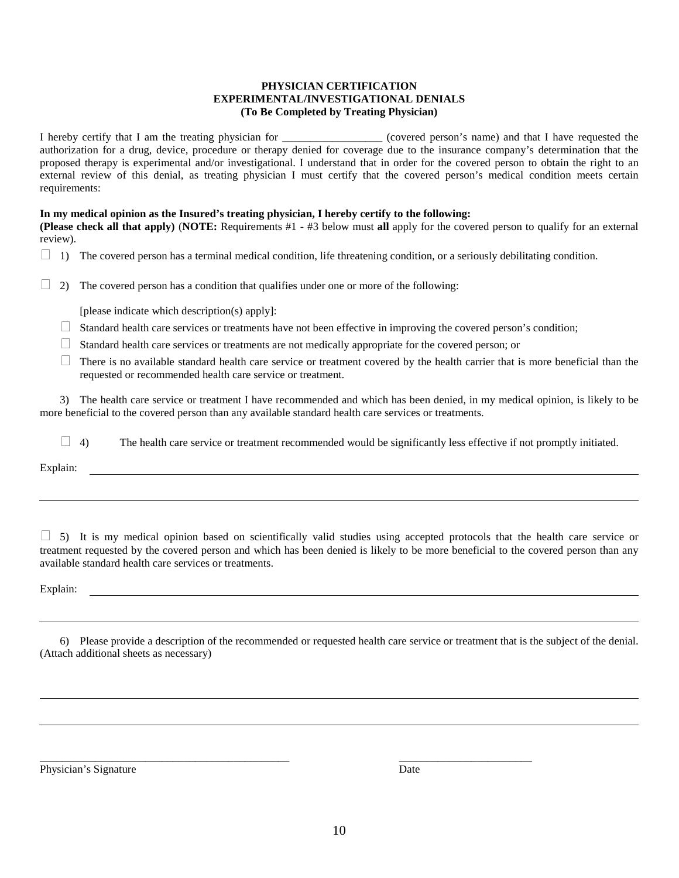#### **PHYSICIAN CERTIFICATION EXPERIMENTAL/INVESTIGATIONAL DENIALS (To Be Completed by Treating Physician)**

I hereby certify that I am the treating physician for  $\blacksquare$  (covered person's name) and that I have requested the authorization for a drug, device, procedure or therapy denied for coverage due to the insurance company's determination that the proposed therapy is experimental and/or investigational. I understand that in order for the covered person to obtain the right to an external review of this denial, as treating physician I must certify that the covered person's medical condition meets certain requirements:

#### **In my medical opinion as the Insured's treating physician, I hereby certify to the following:**

**(Please check all that apply)** (**NOTE:** Requirements #1 - #3 below must **all** apply for the covered person to qualify for an external review).

 $\Box$  1) The covered person has a terminal medical condition, life threatening condition, or a seriously debilitating condition.

 $\Box$  2) The covered person has a condition that qualifies under one or more of the following:

[please indicate which description(s) apply]:

- $\Box$  Standard health care services or treatments have not been effective in improving the covered person's condition;
- Standard health care services or treatments are not medically appropriate for the covered person; or
- $\Box$  There is no available standard health care service or treatment covered by the health carrier that is more beneficial than the requested or recommended health care service or treatment.

3) The health care service or treatment I have recommended and which has been denied, in my medical opinion, is likely to be more beneficial to the covered person than any available standard health care services or treatments.

 $\Box$  4) The health care service or treatment recommended would be significantly less effective if not promptly initiated.

Explain:

 $\Box$  5) It is my medical opinion based on scientifically valid studies using accepted protocols that the health care service or treatment requested by the covered person and which has been denied is likely to be more beneficial to the covered person than any available standard health care services or treatments.

Explain:

6) Please provide a description of the recommended or requested health care service or treatment that is the subject of the denial. (Attach additional sheets as necessary)

Physician's Signature Date

\_\_\_\_\_\_\_\_\_\_\_\_\_\_\_\_\_\_\_\_\_\_\_\_\_\_\_\_\_\_\_\_\_\_\_\_\_\_\_\_\_\_\_\_\_ \_\_\_\_\_\_\_\_\_\_\_\_\_\_\_\_\_\_\_\_\_\_\_\_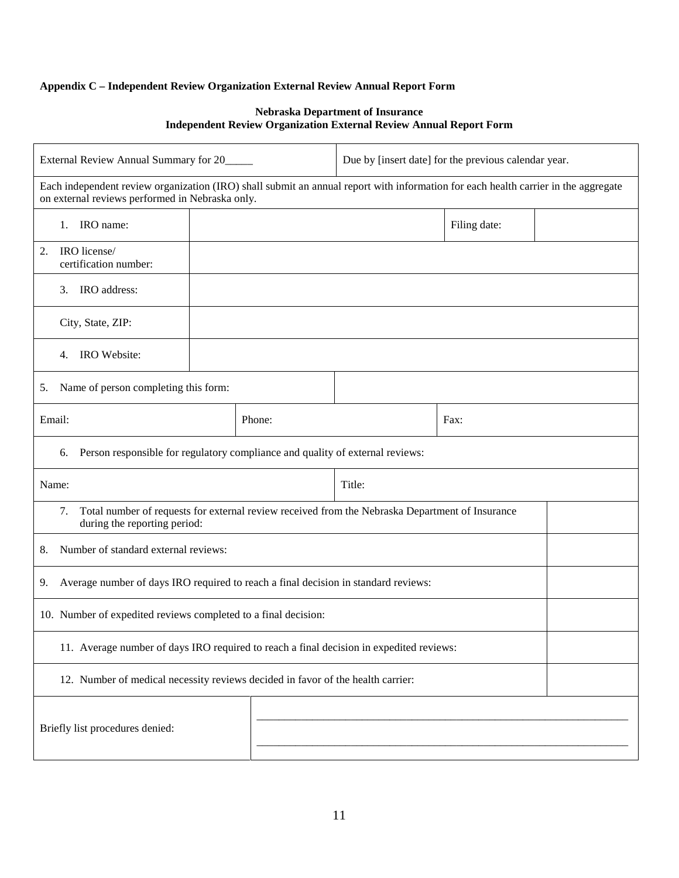## **Appendix C – Independent Review Organization External Review Annual Report Form**

### **Nebraska Department of Insurance Independent Review Organization External Review Annual Report Form**

| External Review Annual Summary for 20                                                                                                                                                 |        | Due by [insert date] for the previous calendar year. |              |  |
|---------------------------------------------------------------------------------------------------------------------------------------------------------------------------------------|--------|------------------------------------------------------|--------------|--|
| Each independent review organization (IRO) shall submit an annual report with information for each health carrier in the aggregate<br>on external reviews performed in Nebraska only. |        |                                                      |              |  |
| IRO name:<br>1.                                                                                                                                                                       |        |                                                      | Filing date: |  |
| IRO license/<br>2.<br>certification number:                                                                                                                                           |        |                                                      |              |  |
| IRO address:<br>3.                                                                                                                                                                    |        |                                                      |              |  |
| City, State, ZIP:                                                                                                                                                                     |        |                                                      |              |  |
| IRO Website:<br>4.                                                                                                                                                                    |        |                                                      |              |  |
| Name of person completing this form:<br>5.                                                                                                                                            |        |                                                      |              |  |
| Email:                                                                                                                                                                                | Phone: |                                                      | Fax:         |  |
| Person responsible for regulatory compliance and quality of external reviews:<br>6.                                                                                                   |        |                                                      |              |  |
| Title:<br>Name:                                                                                                                                                                       |        |                                                      |              |  |
| Total number of requests for external review received from the Nebraska Department of Insurance<br>7.<br>during the reporting period:                                                 |        |                                                      |              |  |
| Number of standard external reviews:<br>8.                                                                                                                                            |        |                                                      |              |  |
| Average number of days IRO required to reach a final decision in standard reviews:<br>9.                                                                                              |        |                                                      |              |  |
| 10. Number of expedited reviews completed to a final decision:                                                                                                                        |        |                                                      |              |  |
| 11. Average number of days IRO required to reach a final decision in expedited reviews:                                                                                               |        |                                                      |              |  |
| 12. Number of medical necessity reviews decided in favor of the health carrier:                                                                                                       |        |                                                      |              |  |
| Briefly list procedures denied:                                                                                                                                                       |        |                                                      |              |  |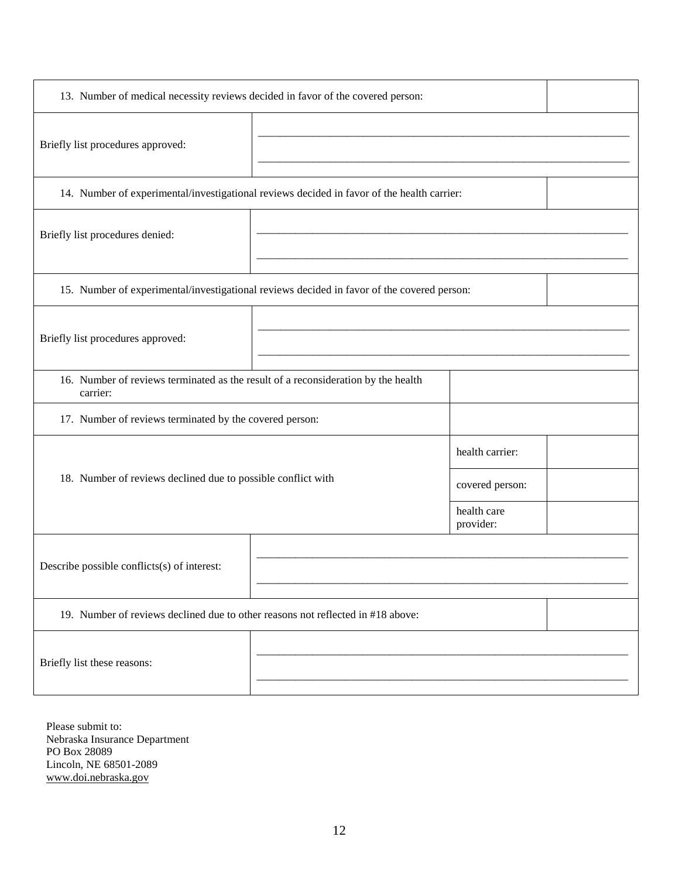| 13. Number of medical necessity reviews decided in favor of the covered person:               |  |                          |  |  |
|-----------------------------------------------------------------------------------------------|--|--------------------------|--|--|
| Briefly list procedures approved:                                                             |  |                          |  |  |
| 14. Number of experimental/investigational reviews decided in favor of the health carrier:    |  |                          |  |  |
| Briefly list procedures denied:                                                               |  |                          |  |  |
| 15. Number of experimental/investigational reviews decided in favor of the covered person:    |  |                          |  |  |
| Briefly list procedures approved:                                                             |  |                          |  |  |
| 16. Number of reviews terminated as the result of a reconsideration by the health<br>carrier: |  |                          |  |  |
| 17. Number of reviews terminated by the covered person:                                       |  |                          |  |  |
|                                                                                               |  | health carrier:          |  |  |
| 18. Number of reviews declined due to possible conflict with                                  |  | covered person:          |  |  |
|                                                                                               |  | health care<br>provider: |  |  |
| Describe possible conflicts(s) of interest:                                                   |  |                          |  |  |
| 19. Number of reviews declined due to other reasons not reflected in #18 above:               |  |                          |  |  |
| Briefly list these reasons:                                                                   |  |                          |  |  |

Please submit to: Nebraska Insurance Department PO Box 28089 Lincoln, NE 68501-2089 www.doi.nebraska.gov